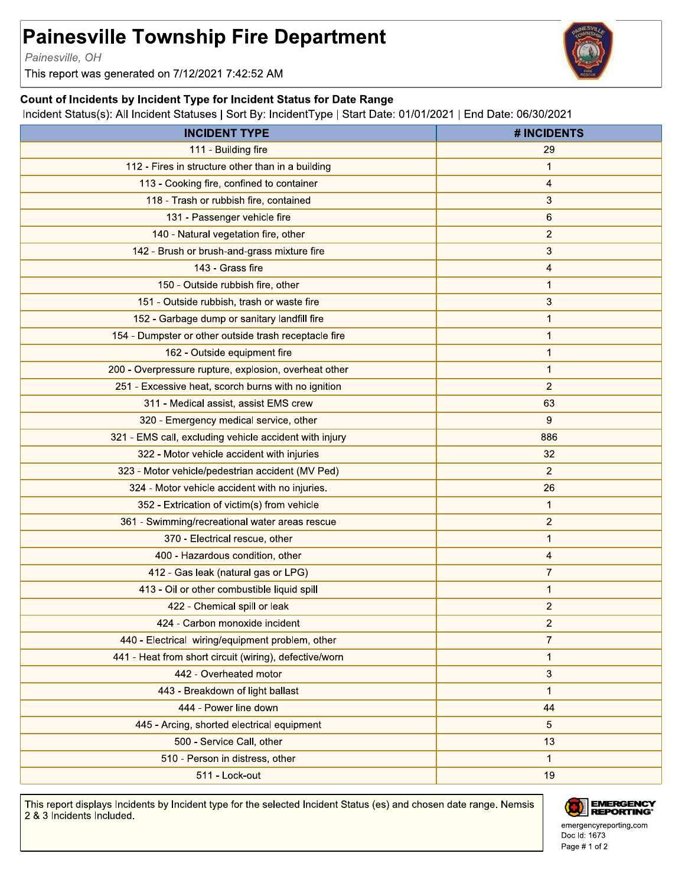## **Painesville Township Fire Department**

Painesville, OH

This report was generated on 7/12/2021 7:42:52 AM

## Count of Incidents by Incident Type for Incident Status for Date Range

Incident Status(s): All Incident Statuses | Sort By: IncidentType | Start Date: 01/01/2021 | End Date: 06/30/2021

| <b>INCIDENT TYPE</b>                                   | <b># INCIDENTS</b> |
|--------------------------------------------------------|--------------------|
| 111 - Building fire                                    | 29                 |
| 112 - Fires in structure other than in a building      | 1                  |
| 113 - Cooking fire, confined to container              | 4                  |
| 118 - Trash or rubbish fire, contained                 | 3                  |
| 131 - Passenger vehicle fire                           | 6                  |
| 140 - Natural vegetation fire, other                   | $\overline{2}$     |
| 142 - Brush or brush-and-grass mixture fire            | 3                  |
| 143 - Grass fire                                       | 4                  |
| 150 - Outside rubbish fire, other                      | $\mathbf{1}$       |
| 151 - Outside rubbish, trash or waste fire             | 3                  |
| 152 - Garbage dump or sanitary landfill fire           | 1                  |
| 154 - Dumpster or other outside trash receptacle fire  | 1                  |
| 162 - Outside equipment fire                           | 1                  |
| 200 - Overpressure rupture, explosion, overheat other  | $\mathbf{1}$       |
| 251 - Excessive heat, scorch burns with no ignition    | 2                  |
| 311 - Medical assist, assist EMS crew                  | 63                 |
| 320 - Emergency medical service, other                 | 9                  |
| 321 - EMS call, excluding vehicle accident with injury | 886                |
| 322 - Motor vehicle accident with injuries             | 32                 |
| 323 - Motor vehicle/pedestrian accident (MV Ped)       | $\overline{2}$     |
| 324 - Motor vehicle accident with no injuries.         | 26                 |
| 352 - Extrication of victim(s) from vehicle            | 1                  |
| 361 - Swimming/recreational water areas rescue         | $\overline{2}$     |
| 370 - Electrical rescue, other                         | $\mathbf{1}$       |
| 400 - Hazardous condition, other                       | 4                  |
| 412 - Gas leak (natural gas or LPG)                    | $\overline{7}$     |
| 413 - Oil or other combustible liquid spill            | 1                  |
| 422 - Chemical spill or leak                           | 2                  |
| 424 - Carbon monoxide incident                         | $\overline{c}$     |
| 440 - Electrical wiring/equipment problem, other       | $\overline{7}$     |
| 441 - Heat from short circuit (wiring), defective/worn | $\mathbf{1}$       |
| 442 - Overheated motor                                 | 3                  |
| 443 - Breakdown of light ballast                       | 1                  |
| 444 - Power line down                                  | 44                 |
| 445 - Arcing, shorted electrical equipment             | 5                  |
| 500 - Service Call, other                              | 13                 |
| 510 - Person in distress, other                        | 1                  |
| 511 - Lock-out                                         | 19                 |
|                                                        |                    |

This report displays Incidents by Incident type for the selected Incident Status (es) and chosen date range. Nemsis 2 & 3 Incidents Included.



emergencyreporting.com Doc Id: 1673 Page # 1 of 2